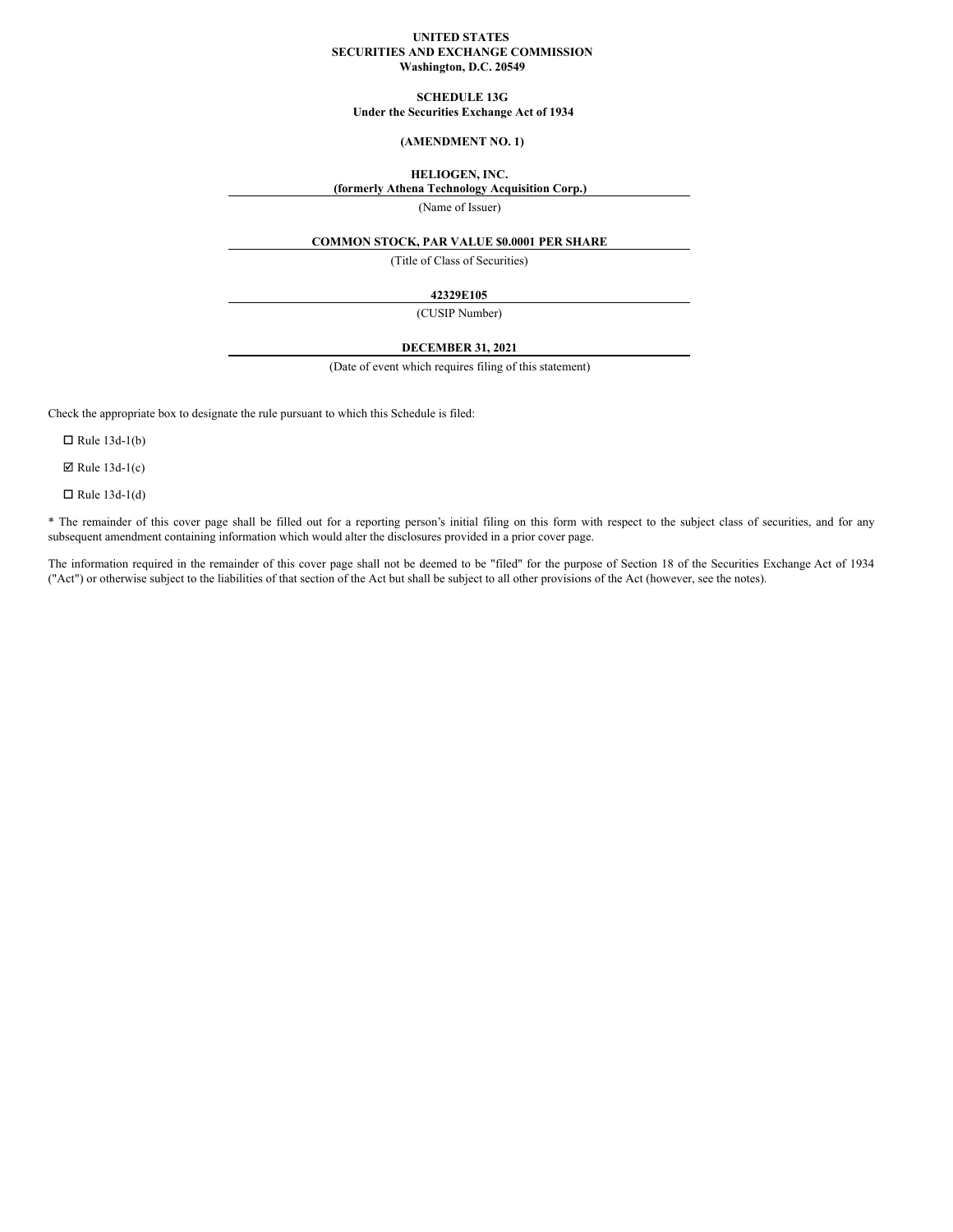### **UNITED STATES SECURITIES AND EXCHANGE COMMISSION Washington, D.C. 20549**

**SCHEDULE 13G**

**Under the Securities Exchange Act of 1934**

# **(AMENDMENT NO. 1)**

# **HELIOGEN, INC.**

**(formerly Athena Technology Acquisition Corp.)**

(Name of Issuer)

# **COMMON STOCK, PAR VALUE \$0.0001 PER SHARE**

(Title of Class of Securities)

### **42329E105**

(CUSIP Number)

### **DECEMBER 31, 2021**

(Date of event which requires filing of this statement)

Check the appropriate box to designate the rule pursuant to which this Schedule is filed:

 $\Box$  Rule 13d-1(b)

 $\boxtimes$  Rule 13d-1(c)

 $\Box$  Rule 13d-1(d)

\* The remainder of this cover page shall be filled out for a reporting person's initial filing on this form with respect to the subject class of securities, and for any subsequent amendment containing information which would alter the disclosures provided in a prior cover page.

The information required in the remainder of this cover page shall not be deemed to be "filed" for the purpose of Section 18 of the Securities Exchange Act of 1934 ("Act") or otherwise subject to the liabilities of that section of the Act but shall be subject to all other provisions of the Act (however, see the notes).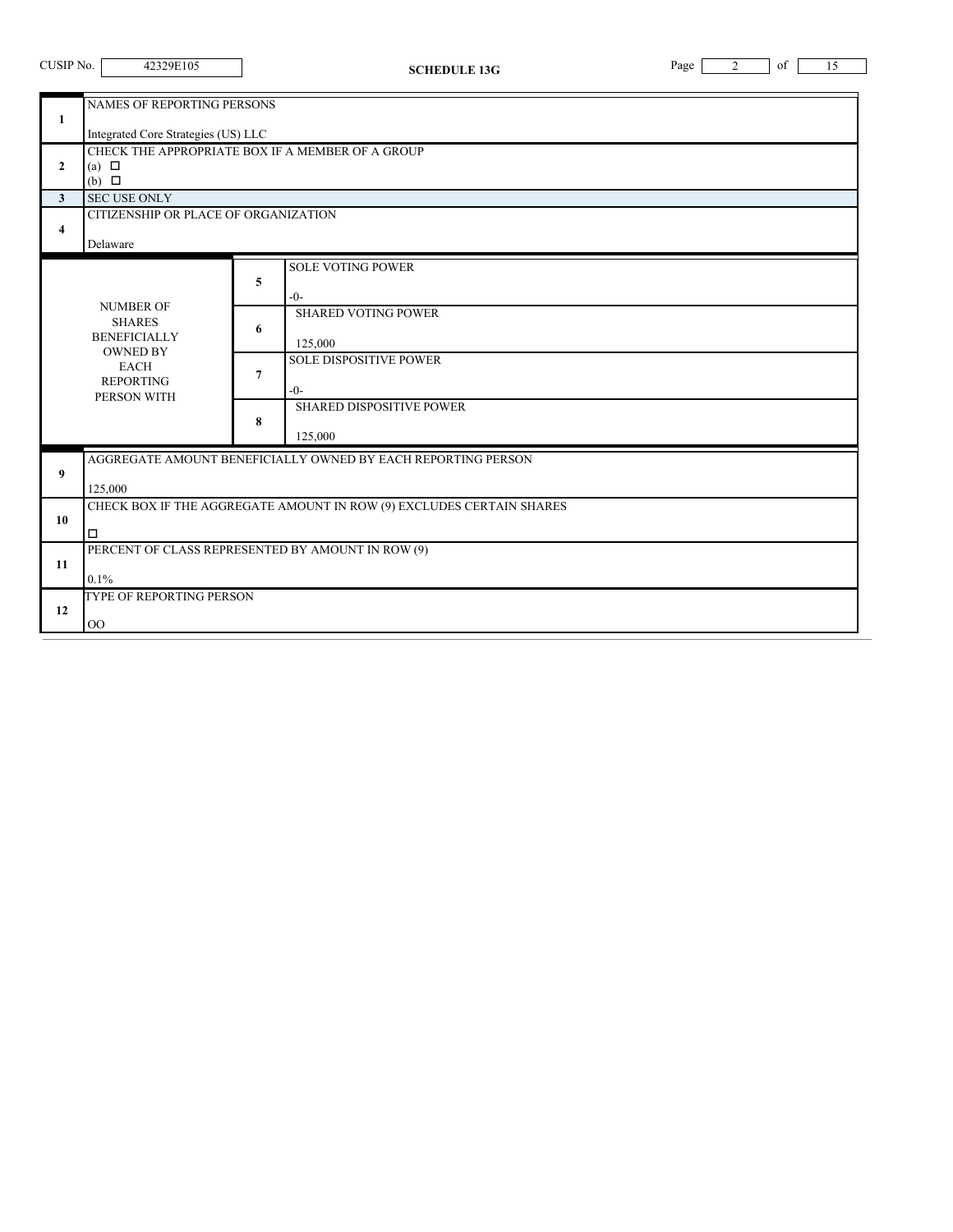| CUSIP No.                                                                                                                                                                                                                                                                                                        | 42329E105                                                                                                                                                                                                                         |  | <b>SCHEDULE 13G</b> | of<br>Page<br>2 | 15 |  |  |
|------------------------------------------------------------------------------------------------------------------------------------------------------------------------------------------------------------------------------------------------------------------------------------------------------------------|-----------------------------------------------------------------------------------------------------------------------------------------------------------------------------------------------------------------------------------|--|---------------------|-----------------|----|--|--|
| $\mathbf{1}$<br>$\mathbf{2}$<br>3 <sup>1</sup><br>4                                                                                                                                                                                                                                                              | NAMES OF REPORTING PERSONS<br>Integrated Core Strategies (US) LLC<br>CHECK THE APPROPRIATE BOX IF A MEMBER OF A GROUP<br>(a) $\Box$<br>$(b)$ $\square$<br><b>SEC USE ONLY</b><br>CITIZENSHIP OR PLACE OF ORGANIZATION<br>Delaware |  |                     |                 |    |  |  |
| <b>SOLE VOTING POWER</b><br>5<br>$-0-$<br><b>NUMBER OF</b><br><b>SHARED VOTING POWER</b><br><b>SHARES</b><br>6<br><b>BENEFICIALLY</b><br>125,000<br><b>OWNED BY</b><br><b>SOLE DISPOSITIVE POWER</b><br><b>EACH</b><br>7<br><b>REPORTING</b><br>$-0-$<br>PERSON WITH<br>SHARED DISPOSITIVE POWER<br>8<br>125,000 |                                                                                                                                                                                                                                   |  |                     |                 |    |  |  |
| 9                                                                                                                                                                                                                                                                                                                | AGGREGATE AMOUNT BENEFICIALLY OWNED BY EACH REPORTING PERSON<br>125,000                                                                                                                                                           |  |                     |                 |    |  |  |
| 10                                                                                                                                                                                                                                                                                                               | CHECK BOX IF THE AGGREGATE AMOUNT IN ROW (9) EXCLUDES CERTAIN SHARES<br>$\Box$                                                                                                                                                    |  |                     |                 |    |  |  |
| 11                                                                                                                                                                                                                                                                                                               | PERCENT OF CLASS REPRESENTED BY AMOUNT IN ROW (9)<br>0.1%                                                                                                                                                                         |  |                     |                 |    |  |  |
| 12                                                                                                                                                                                                                                                                                                               | TYPE OF REPORTING PERSON<br>O <sub>O</sub>                                                                                                                                                                                        |  |                     |                 |    |  |  |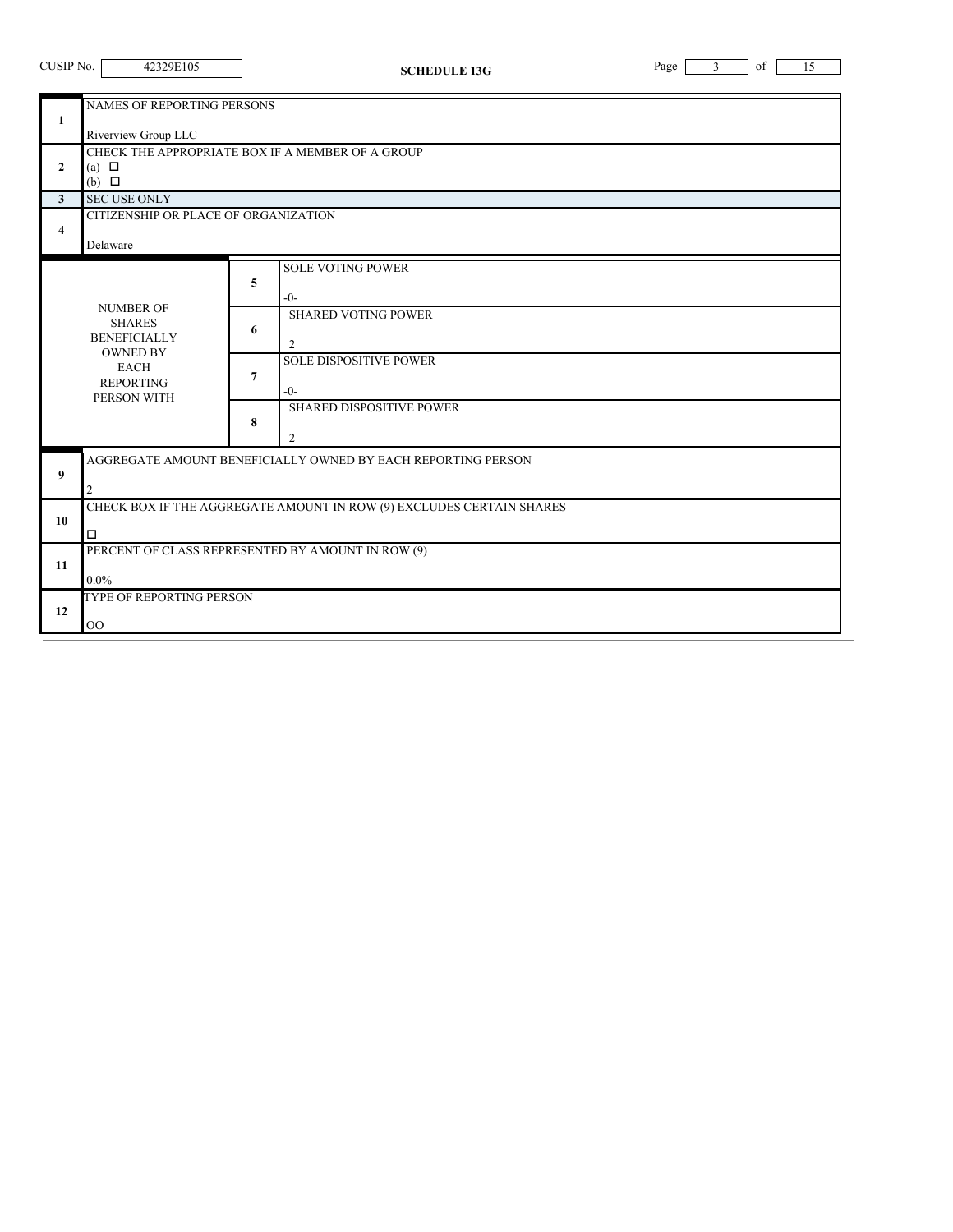| CUSIP No.                                                                                                                     | 42329E105                                                                                             |             | <b>SCHEDULE 13G</b>                                                                                                                        | Page | $\mathfrak{Z}$ | of | 15 |  |
|-------------------------------------------------------------------------------------------------------------------------------|-------------------------------------------------------------------------------------------------------|-------------|--------------------------------------------------------------------------------------------------------------------------------------------|------|----------------|----|----|--|
| 1                                                                                                                             | NAMES OF REPORTING PERSONS<br>Riverview Group LLC<br>CHECK THE APPROPRIATE BOX IF A MEMBER OF A GROUP |             |                                                                                                                                            |      |                |    |    |  |
| $\overline{2}$                                                                                                                | (a) $\Box$<br>$(b)$ $\square$                                                                         |             |                                                                                                                                            |      |                |    |    |  |
| 3                                                                                                                             | <b>SEC USE ONLY</b>                                                                                   |             |                                                                                                                                            |      |                |    |    |  |
| 4                                                                                                                             | CITIZENSHIP OR PLACE OF ORGANIZATION<br>Delaware                                                      |             |                                                                                                                                            |      |                |    |    |  |
| <b>NUMBER OF</b><br><b>SHARES</b><br><b>BENEFICIALLY</b><br><b>OWNED BY</b><br><b>EACH</b><br><b>REPORTING</b><br>PERSON WITH |                                                                                                       | 5<br>6<br>7 | <b>SOLE VOTING POWER</b><br>$-0-$<br><b>SHARED VOTING POWER</b><br>2<br><b>SOLE DISPOSITIVE POWER</b><br>$-0-$<br>SHARED DISPOSITIVE POWER |      |                |    |    |  |
|                                                                                                                               |                                                                                                       | 8           | 2                                                                                                                                          |      |                |    |    |  |
| 9                                                                                                                             | AGGREGATE AMOUNT BENEFICIALLY OWNED BY EACH REPORTING PERSON<br>2                                     |             |                                                                                                                                            |      |                |    |    |  |
| 10                                                                                                                            | CHECK BOX IF THE AGGREGATE AMOUNT IN ROW (9) EXCLUDES CERTAIN SHARES<br>$\Box$                        |             |                                                                                                                                            |      |                |    |    |  |
| 11                                                                                                                            | PERCENT OF CLASS REPRESENTED BY AMOUNT IN ROW (9)<br>$0.0\%$                                          |             |                                                                                                                                            |      |                |    |    |  |
| 12                                                                                                                            | TYPE OF REPORTING PERSON                                                                              |             |                                                                                                                                            |      |                |    |    |  |

 $\overline{\phantom{0}}$ 

OO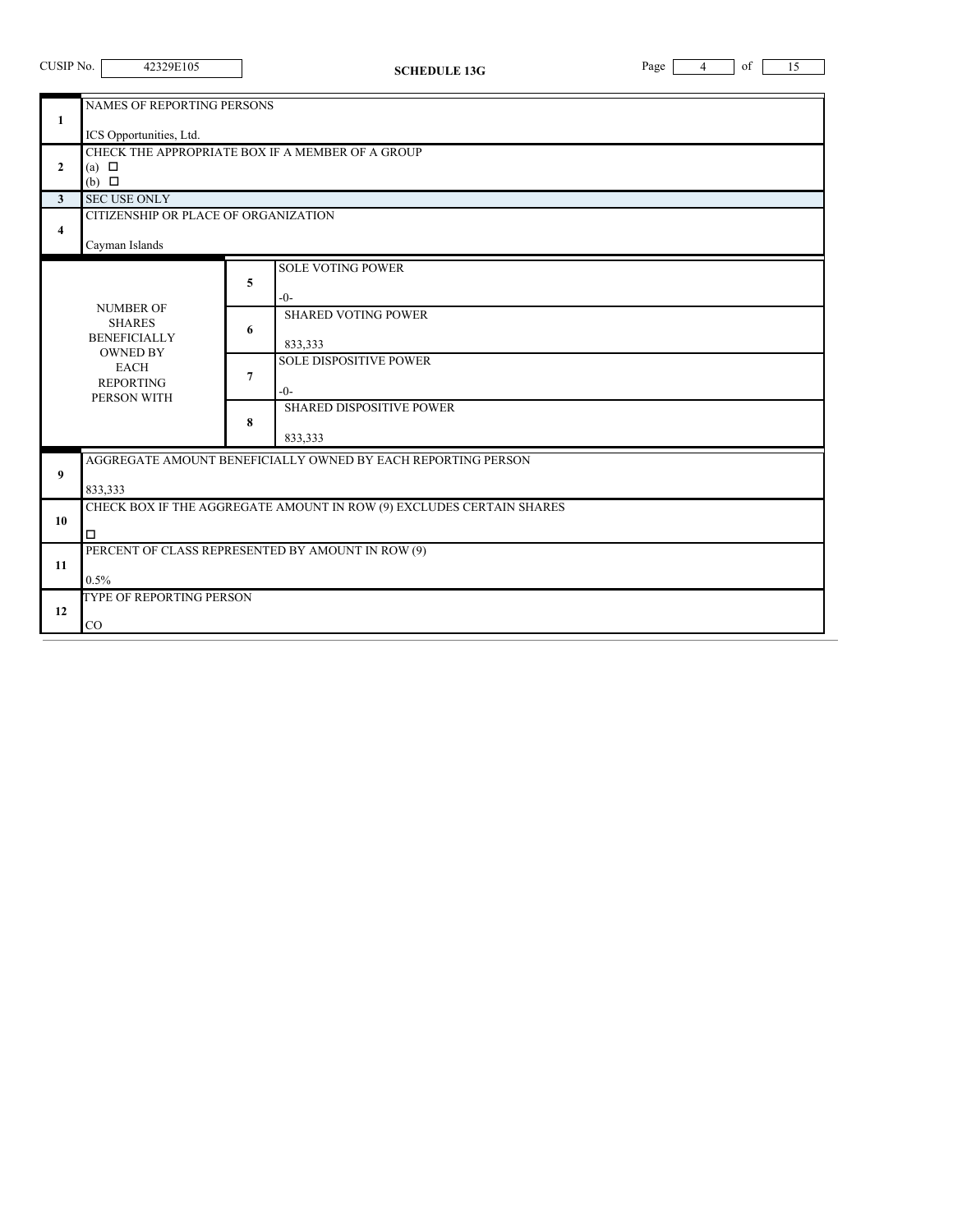| CUSIP No. |  |
|-----------|--|
|           |  |

**CHEDULE** 13G Page 4 of 15

|              | NAMES OF REPORTING PERSONS                                                      |   |                                                              |  |  |
|--------------|---------------------------------------------------------------------------------|---|--------------------------------------------------------------|--|--|
| 1            |                                                                                 |   |                                                              |  |  |
|              | ICS Opportunities, Ltd.                                                         |   |                                                              |  |  |
| $\mathbf{2}$ | (a) $\Box$                                                                      |   | CHECK THE APPROPRIATE BOX IF A MEMBER OF A GROUP             |  |  |
|              | $(b)$ $\square$                                                                 |   |                                                              |  |  |
| $\mathbf{3}$ | <b>SEC USE ONLY</b>                                                             |   |                                                              |  |  |
|              | CITIZENSHIP OR PLACE OF ORGANIZATION                                            |   |                                                              |  |  |
| 4            |                                                                                 |   |                                                              |  |  |
|              | Cayman Islands                                                                  |   |                                                              |  |  |
|              |                                                                                 |   | <b>SOLE VOTING POWER</b>                                     |  |  |
|              |                                                                                 | 5 | $-()$ -                                                      |  |  |
|              | <b>NUMBER OF</b>                                                                |   | <b>SHARED VOTING POWER</b>                                   |  |  |
|              | <b>SHARES</b>                                                                   | 6 |                                                              |  |  |
|              | <b>BENEFICIALLY</b><br><b>OWNED BY</b>                                          |   | 833,333                                                      |  |  |
|              | <b>EACH</b>                                                                     | 7 | <b>SOLE DISPOSITIVE POWER</b>                                |  |  |
|              | <b>REPORTING</b>                                                                |   | $-0-$                                                        |  |  |
|              | PERSON WITH                                                                     |   | <b>SHARED DISPOSITIVE POWER</b>                              |  |  |
|              |                                                                                 | 8 |                                                              |  |  |
|              |                                                                                 |   | 833,333                                                      |  |  |
|              |                                                                                 |   | AGGREGATE AMOUNT BENEFICIALLY OWNED BY EACH REPORTING PERSON |  |  |
| 9            |                                                                                 |   |                                                              |  |  |
|              | 833,333<br>CHECK BOX IF THE AGGREGATE AMOUNT IN ROW (9) EXCLUDES CERTAIN SHARES |   |                                                              |  |  |
| 10           |                                                                                 |   |                                                              |  |  |
|              | $\Box$                                                                          |   |                                                              |  |  |
|              |                                                                                 |   | PERCENT OF CLASS REPRESENTED BY AMOUNT IN ROW (9)            |  |  |
| 11           |                                                                                 |   |                                                              |  |  |
|              | 0.5%<br>TYPE OF REPORTING PERSON                                                |   |                                                              |  |  |
| 12           |                                                                                 |   |                                                              |  |  |
|              | CO                                                                              |   |                                                              |  |  |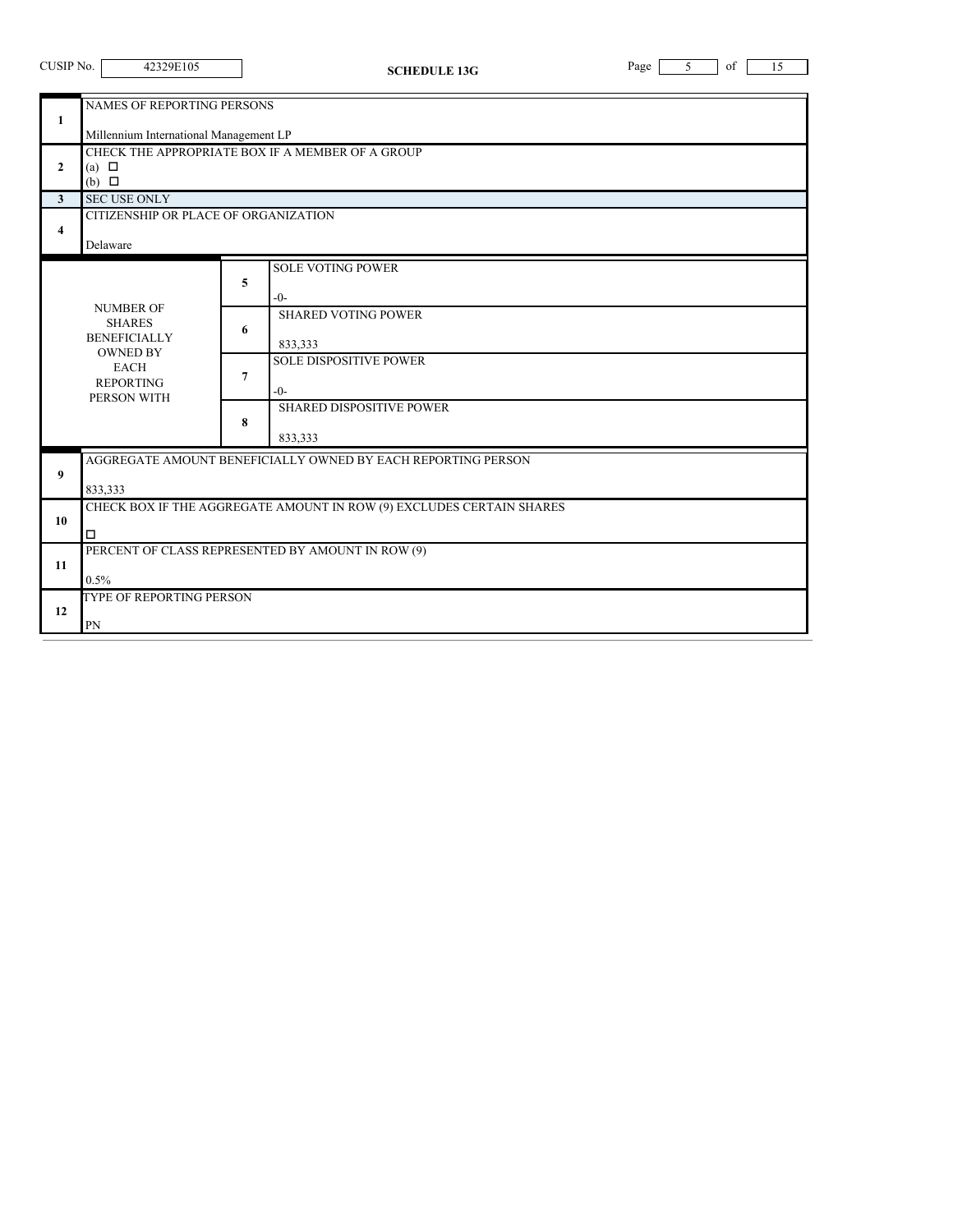| CUSIP No.                           | 42329E105                                                                                                                                                                        |                  | <b>SCHEDULE 13G</b>                                                                                                                                                    | Page | 5 | of | 15 |  |
|-------------------------------------|----------------------------------------------------------------------------------------------------------------------------------------------------------------------------------|------------------|------------------------------------------------------------------------------------------------------------------------------------------------------------------------|------|---|----|----|--|
| 1<br>$\overline{2}$<br>$\mathbf{3}$ | NAMES OF REPORTING PERSONS<br>Millennium International Management LP<br>CHECK THE APPROPRIATE BOX IF A MEMBER OF A GROUP<br>(a) $\Box$<br>$(b)$ $\square$<br><b>SEC USE ONLY</b> |                  |                                                                                                                                                                        |      |   |    |    |  |
| 4                                   | CITIZENSHIP OR PLACE OF ORGANIZATION<br>Delaware                                                                                                                                 |                  |                                                                                                                                                                        |      |   |    |    |  |
|                                     | <b>NUMBER OF</b><br><b>SHARES</b><br><b>BENEFICIALLY</b><br><b>OWNED BY</b><br><b>EACH</b><br><b>REPORTING</b><br>PERSON WITH                                                    | 5<br>6<br>7<br>8 | <b>SOLE VOTING POWER</b><br>$-()$ -<br><b>SHARED VOTING POWER</b><br>833,333<br><b>SOLE DISPOSITIVE POWER</b><br>$-()$ -<br><b>SHARED DISPOSITIVE POWER</b><br>833,333 |      |   |    |    |  |
| 9                                   | AGGREGATE AMOUNT BENEFICIALLY OWNED BY EACH REPORTING PERSON<br>833,333                                                                                                          |                  |                                                                                                                                                                        |      |   |    |    |  |
| 10                                  | CHECK BOX IF THE AGGREGATE AMOUNT IN ROW (9) EXCLUDES CERTAIN SHARES<br>$\Box$                                                                                                   |                  |                                                                                                                                                                        |      |   |    |    |  |
| 11                                  | PERCENT OF CLASS REPRESENTED BY AMOUNT IN ROW (9)<br>0.5%                                                                                                                        |                  |                                                                                                                                                                        |      |   |    |    |  |
| 12                                  | TYPE OF REPORTING PERSON<br>PN                                                                                                                                                   |                  |                                                                                                                                                                        |      |   |    |    |  |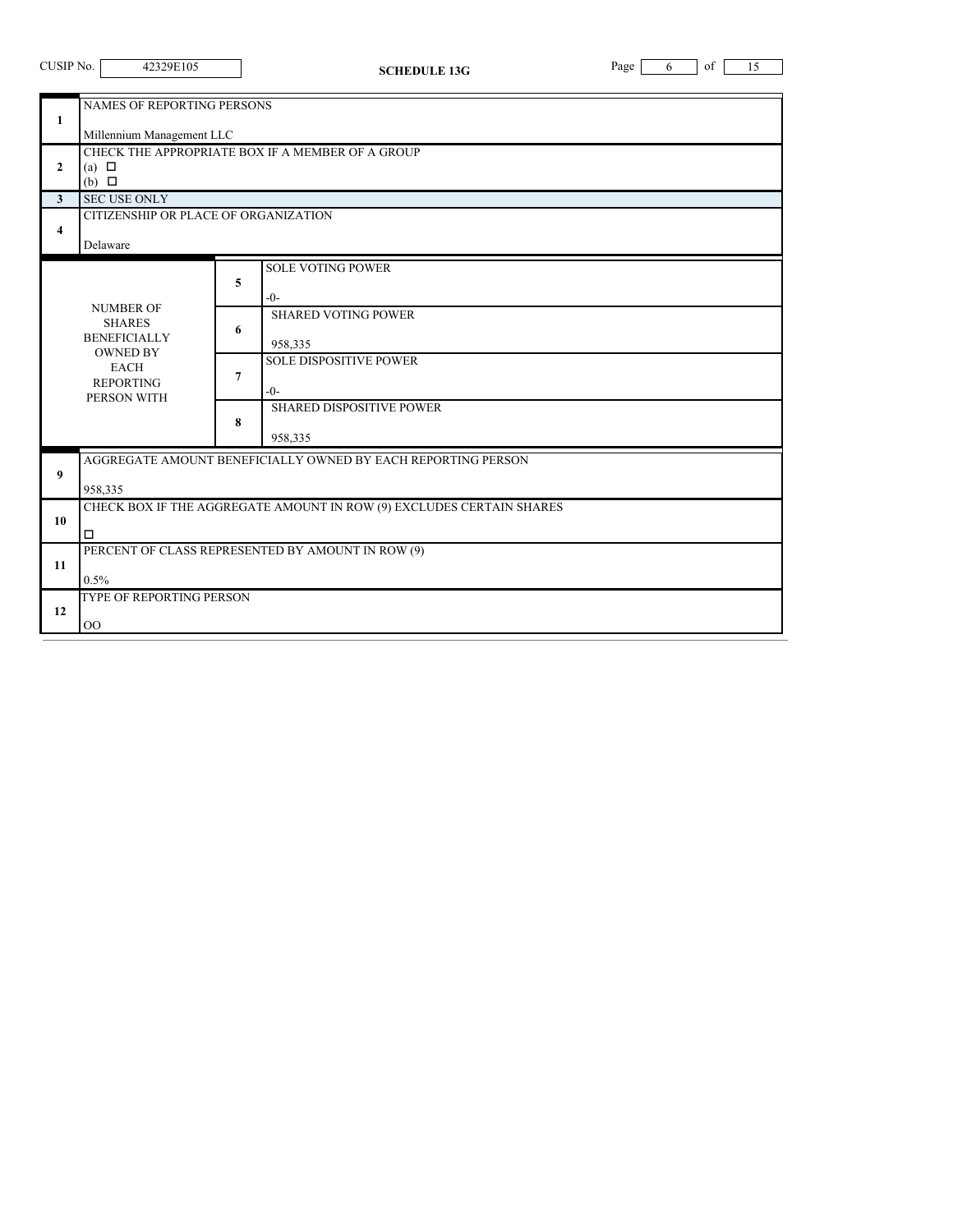| CUSIP No. |  |
|-----------|--|
|           |  |

| $\mathbf{1}$ | NAMES OF REPORTING PERSONS                                           |   |                                                              |  |  |  |
|--------------|----------------------------------------------------------------------|---|--------------------------------------------------------------|--|--|--|
|              | Millennium Management LLC                                            |   |                                                              |  |  |  |
|              | CHECK THE APPROPRIATE BOX IF A MEMBER OF A GROUP                     |   |                                                              |  |  |  |
| $\mathbf{2}$ | (a) $\Box$<br>$(b)$ $\square$                                        |   |                                                              |  |  |  |
| 3            | <b>SEC USE ONLY</b>                                                  |   |                                                              |  |  |  |
|              | CITIZENSHIP OR PLACE OF ORGANIZATION                                 |   |                                                              |  |  |  |
| 4            | Delaware                                                             |   |                                                              |  |  |  |
|              |                                                                      |   | <b>SOLE VOTING POWER</b>                                     |  |  |  |
|              |                                                                      | 5 | $-0-$                                                        |  |  |  |
|              | <b>NUMBER OF</b>                                                     |   | <b>SHARED VOTING POWER</b>                                   |  |  |  |
|              | <b>SHARES</b><br><b>BENEFICIALLY</b>                                 | 6 |                                                              |  |  |  |
|              | <b>OWNED BY</b>                                                      |   | 958,335                                                      |  |  |  |
|              | <b>EACH</b>                                                          | 7 | <b>SOLE DISPOSITIVE POWER</b>                                |  |  |  |
|              | <b>REPORTING</b><br>PERSON WITH                                      |   | $-()$ -                                                      |  |  |  |
|              |                                                                      |   | <b>SHARED DISPOSITIVE POWER</b>                              |  |  |  |
|              |                                                                      | 8 | 958,335                                                      |  |  |  |
|              |                                                                      |   | AGGREGATE AMOUNT BENEFICIALLY OWNED BY EACH REPORTING PERSON |  |  |  |
| 9            |                                                                      |   |                                                              |  |  |  |
|              | 958,335                                                              |   |                                                              |  |  |  |
| 10           | CHECK BOX IF THE AGGREGATE AMOUNT IN ROW (9) EXCLUDES CERTAIN SHARES |   |                                                              |  |  |  |
|              | $\Box$                                                               |   |                                                              |  |  |  |
|              |                                                                      |   | PERCENT OF CLASS REPRESENTED BY AMOUNT IN ROW (9)            |  |  |  |
| 11           | 0.5%                                                                 |   |                                                              |  |  |  |
|              | TYPE OF REPORTING PERSON                                             |   |                                                              |  |  |  |
| 12           |                                                                      |   |                                                              |  |  |  |
|              | 00                                                                   |   |                                                              |  |  |  |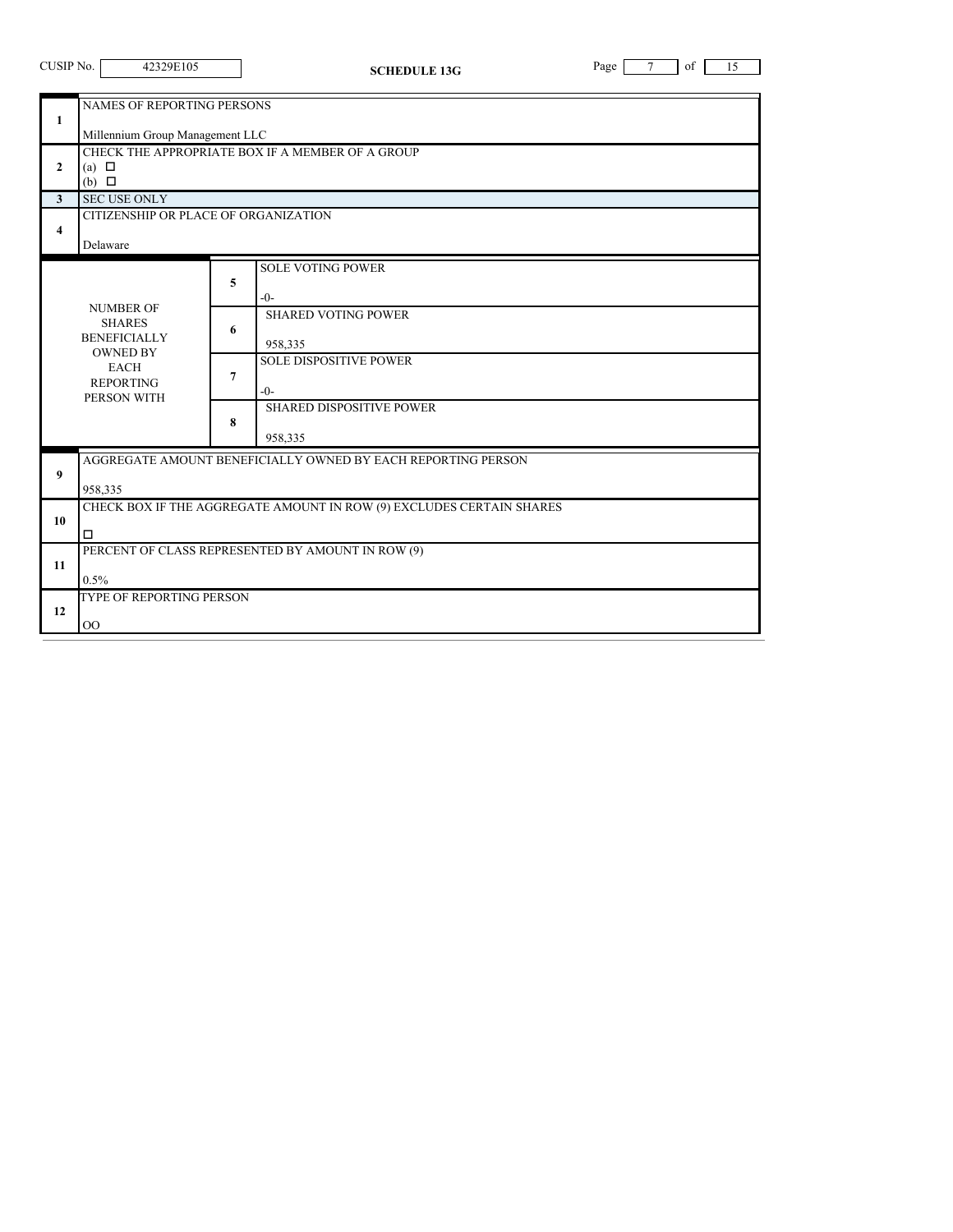| CUSIP No.               | 42329E105                                                                                                                     |                  | <b>SCHEDULE 13G</b>                                                                                                                                                  | Page<br>$\tau$<br>of<br>15 |  |  |  |  |
|-------------------------|-------------------------------------------------------------------------------------------------------------------------------|------------------|----------------------------------------------------------------------------------------------------------------------------------------------------------------------|----------------------------|--|--|--|--|
| 1                       | <b>NAMES OF REPORTING PERSONS</b><br>Millennium Group Management LLC                                                          |                  |                                                                                                                                                                      |                            |  |  |  |  |
| $\mathbf{2}$            | CHECK THE APPROPRIATE BOX IF A MEMBER OF A GROUP<br>(a) $\Box$<br>$(b)$ $\square$                                             |                  |                                                                                                                                                                      |                            |  |  |  |  |
| $\overline{\mathbf{3}}$ | <b>SEC USE ONLY</b>                                                                                                           |                  |                                                                                                                                                                      |                            |  |  |  |  |
| 4                       | CITIZENSHIP OR PLACE OF ORGANIZATION<br>Delaware                                                                              |                  |                                                                                                                                                                      |                            |  |  |  |  |
|                         | <b>NUMBER OF</b><br><b>SHARES</b><br><b>BENEFICIALLY</b><br><b>OWNED BY</b><br><b>EACH</b><br><b>REPORTING</b><br>PERSON WITH | 5<br>6<br>7<br>8 | <b>SOLE VOTING POWER</b><br>$-()$ -<br><b>SHARED VOTING POWER</b><br>958,335<br><b>SOLE DISPOSITIVE POWER</b><br>$-0-$<br><b>SHARED DISPOSITIVE POWER</b><br>958,335 |                            |  |  |  |  |
| 9                       | AGGREGATE AMOUNT BENEFICIALLY OWNED BY EACH REPORTING PERSON<br>958,335                                                       |                  |                                                                                                                                                                      |                            |  |  |  |  |
| 10                      | CHECK BOX IF THE AGGREGATE AMOUNT IN ROW (9) EXCLUDES CERTAIN SHARES<br>$\Box$                                                |                  |                                                                                                                                                                      |                            |  |  |  |  |
| 11                      | PERCENT OF CLASS REPRESENTED BY AMOUNT IN ROW (9)<br>0.5%                                                                     |                  |                                                                                                                                                                      |                            |  |  |  |  |
| 12                      | TYPE OF REPORTING PERSON<br>00                                                                                                |                  |                                                                                                                                                                      |                            |  |  |  |  |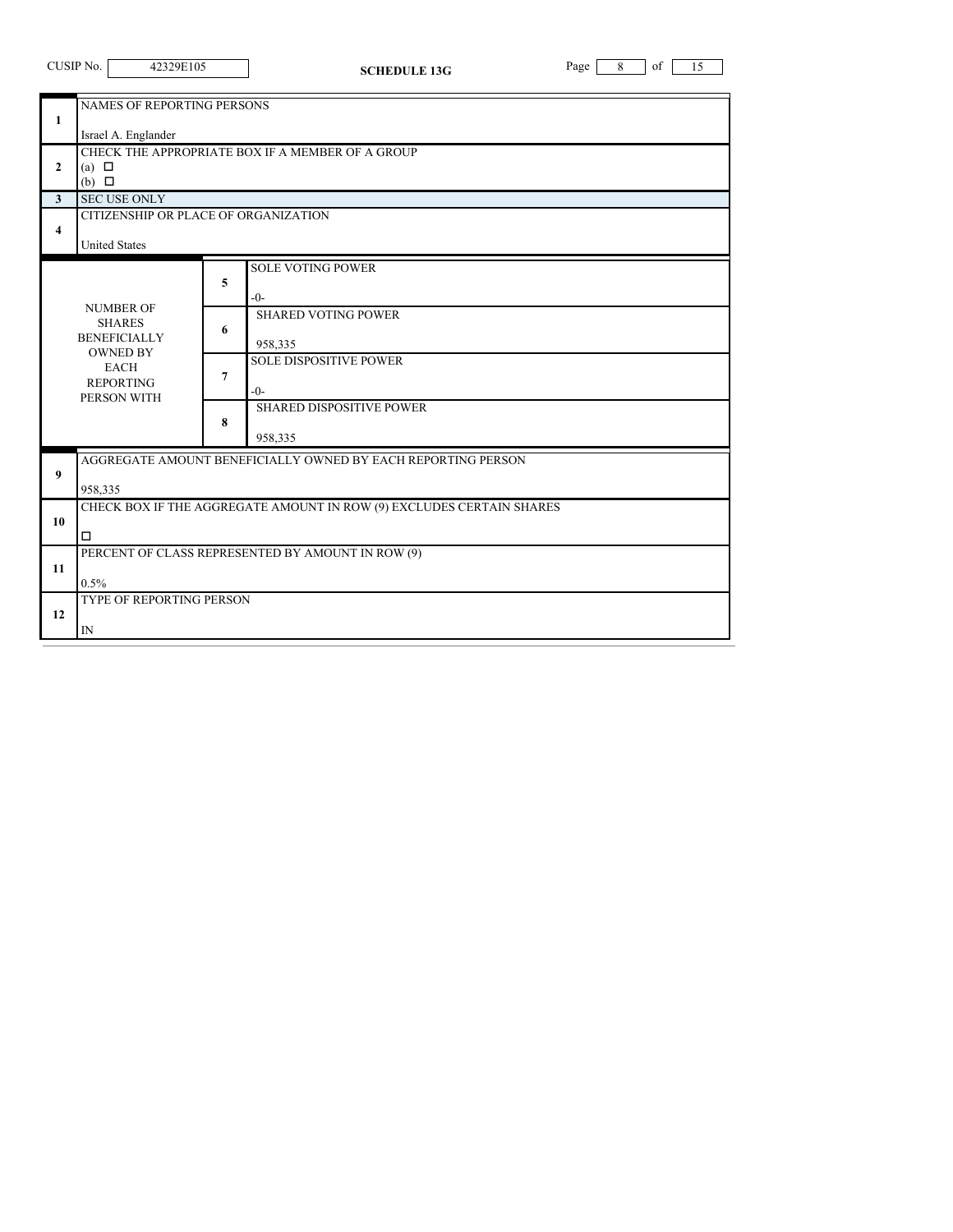| CUSIP No. | 42329 |
|-----------|-------|
|           |       |

**SCHEDULE 13G** Page 8 of 15

| <b>NAMES OF REPORTING PERSONS</b> |                                                                      |                |                                                              |  |  |  |
|-----------------------------------|----------------------------------------------------------------------|----------------|--------------------------------------------------------------|--|--|--|
| $\mathbf{1}$                      |                                                                      |                |                                                              |  |  |  |
|                                   | Israel A. Englander                                                  |                |                                                              |  |  |  |
|                                   | CHECK THE APPROPRIATE BOX IF A MEMBER OF A GROUP                     |                |                                                              |  |  |  |
| $\mathbf{2}$                      | (a) $\Box$                                                           |                |                                                              |  |  |  |
|                                   | $(b)$ $\square$                                                      |                |                                                              |  |  |  |
| 3                                 | <b>SEC USE ONLY</b>                                                  |                |                                                              |  |  |  |
|                                   | CITIZENSHIP OR PLACE OF ORGANIZATION                                 |                |                                                              |  |  |  |
| 4                                 |                                                                      |                |                                                              |  |  |  |
|                                   | <b>United States</b>                                                 |                |                                                              |  |  |  |
|                                   |                                                                      |                | <b>SOLE VOTING POWER</b>                                     |  |  |  |
|                                   |                                                                      | 5              |                                                              |  |  |  |
|                                   |                                                                      |                | $-0-$                                                        |  |  |  |
|                                   | <b>NUMBER OF</b>                                                     |                | <b>SHARED VOTING POWER</b>                                   |  |  |  |
|                                   | <b>SHARES</b><br><b>BENEFICIALLY</b>                                 | 6              |                                                              |  |  |  |
|                                   | <b>OWNED BY</b>                                                      |                | 958,335                                                      |  |  |  |
|                                   | <b>EACH</b>                                                          |                | <b>SOLE DISPOSITIVE POWER</b>                                |  |  |  |
|                                   | <b>REPORTING</b>                                                     | $\overline{7}$ |                                                              |  |  |  |
|                                   | PERSON WITH                                                          |                | $-0-$                                                        |  |  |  |
|                                   |                                                                      |                | <b>SHARED DISPOSITIVE POWER</b>                              |  |  |  |
|                                   |                                                                      | 8              |                                                              |  |  |  |
|                                   |                                                                      |                | 958,335                                                      |  |  |  |
|                                   |                                                                      |                | AGGREGATE AMOUNT BENEFICIALLY OWNED BY EACH REPORTING PERSON |  |  |  |
| $\boldsymbol{9}$                  |                                                                      |                |                                                              |  |  |  |
|                                   | 958,335                                                              |                |                                                              |  |  |  |
| 10                                | CHECK BOX IF THE AGGREGATE AMOUNT IN ROW (9) EXCLUDES CERTAIN SHARES |                |                                                              |  |  |  |
|                                   | □                                                                    |                |                                                              |  |  |  |
|                                   | PERCENT OF CLASS REPRESENTED BY AMOUNT IN ROW (9)                    |                |                                                              |  |  |  |
| 11                                |                                                                      |                |                                                              |  |  |  |
|                                   | 0.5%                                                                 |                |                                                              |  |  |  |
|                                   | <b>TYPE OF REPORTING PERSON</b>                                      |                |                                                              |  |  |  |
| 12                                |                                                                      |                |                                                              |  |  |  |
|                                   | IN                                                                   |                |                                                              |  |  |  |
|                                   |                                                                      |                |                                                              |  |  |  |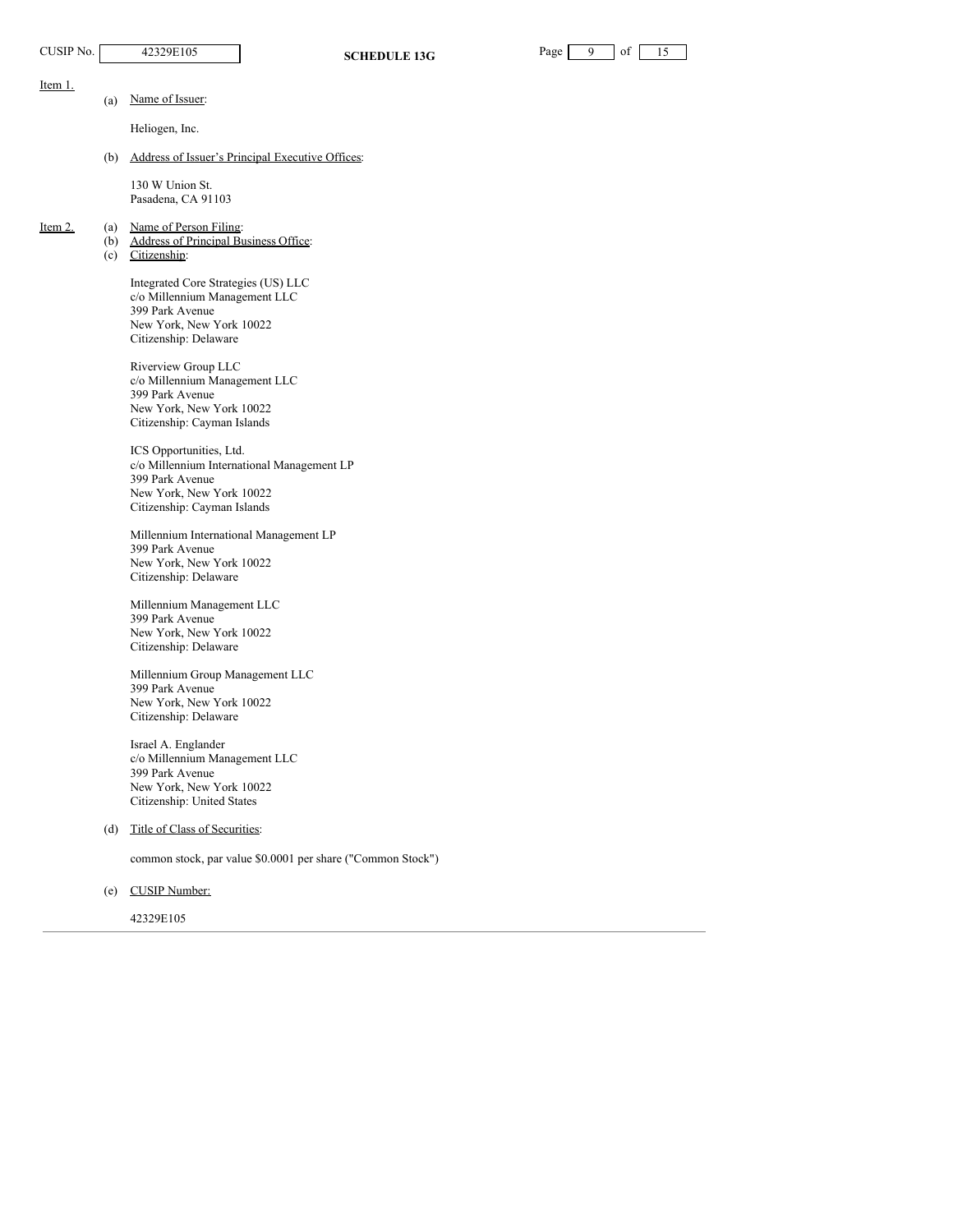Item 1.

| aœ |  |  |
|----|--|--|
|    |  |  |

(a) Name of Issuer:

Heliogen, Inc.

(b) Address of Issuer's Principal Executive Offices:

130 W Union St. Pasadena, CA 91103

- Item 2. (a) Name of Person Filing:
	- (b) Address of Principal Business Office:
	- (c) Citizenship:

Integrated Core Strategies (US) LLC c/o Millennium Management LLC 399 Park Avenue New York, New York 10022 Citizenship: Delaware

Riverview Group LLC c/o Millennium Management LLC 399 Park Avenue New York, New York 10022 Citizenship: Cayman Islands

ICS Opportunities, Ltd. c/o Millennium International Management LP 399 Park Avenue New York, New York 10022 Citizenship: Cayman Islands

Millennium International Management LP 399 Park Avenue New York, New York 10022 Citizenship: Delaware

Millennium Management LLC 399 Park Avenue New York, New York 10022 Citizenship: Delaware

Millennium Group Management LLC 399 Park Avenue New York, New York 10022 Citizenship: Delaware

Israel A. Englander c/o Millennium Management LLC 399 Park Avenue New York, New York 10022 Citizenship: United States

(d) Title of Class of Securities:

common stock, par value \$0.0001 per share ("Common Stock")

(e) CUSIP Number:

42329E105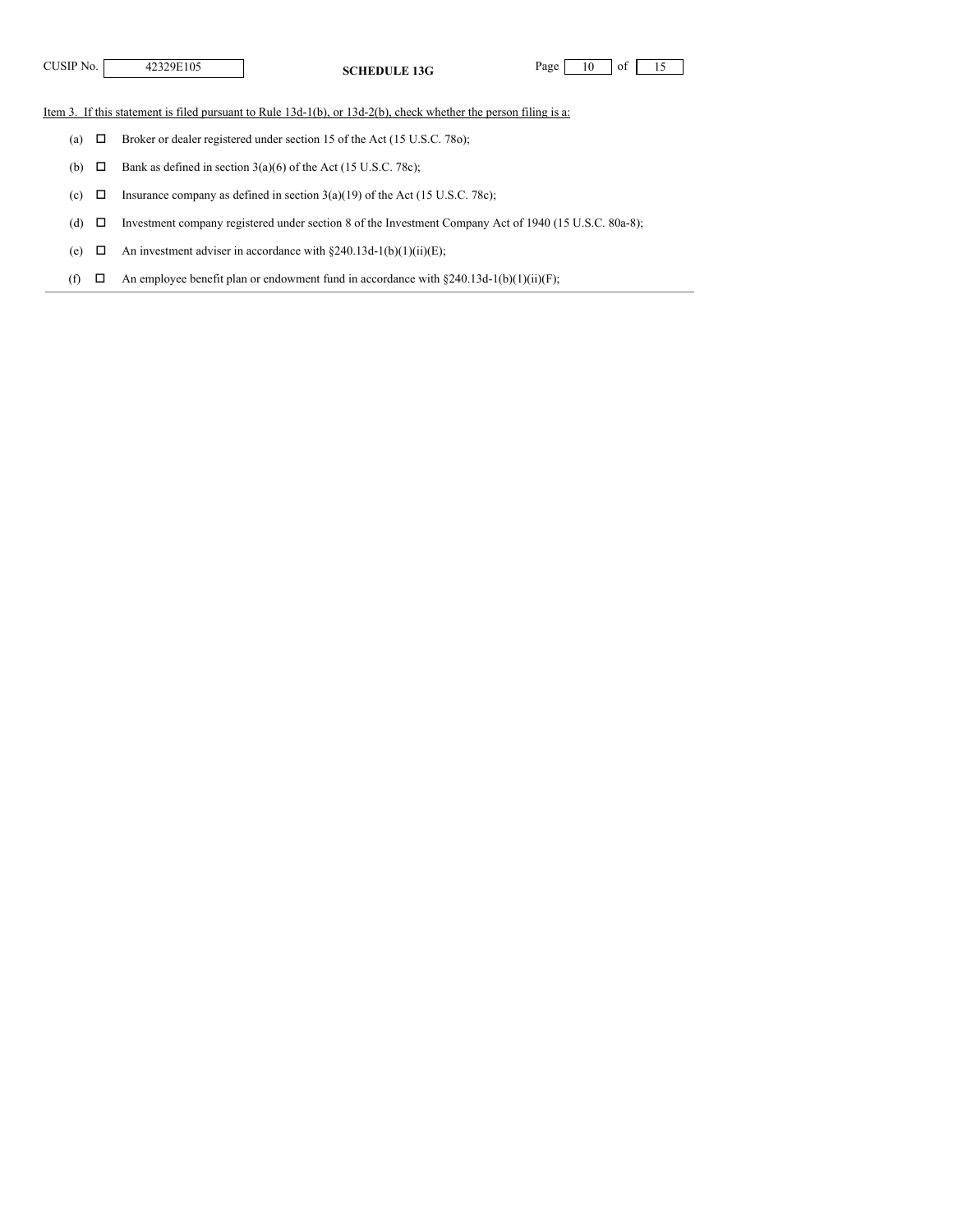**CUSIP No.** 42329E105 **SCHEDULE** 13G Page 10 of 15

Item 3. If this statement is filed pursuant to Rule 13d-1(b), or 13d-2(b), check whether the person filing is a:

(a)  $\Box$  Broker or dealer registered under section 15 of the Act (15 U.S.C. 78o);

(b)  $\Box$  Bank as defined in section 3(a)(6) of the Act (15 U.S.C. 78c);

(c)  $\Box$  Insurance company as defined in section 3(a)(19) of the Act (15 U.S.C. 78c);

(d)  $\Box$  Investment company registered under section 8 of the Investment Company Act of 1940 (15 U.S.C. 80a-8);

(e)  $\Box$  An investment adviser in accordance with §240.13d-1(b)(1)(ii)(E);

(f)  $\Box$  An employee benefit plan or endowment fund in accordance with §240.13d-1(b)(1)(ii)(F);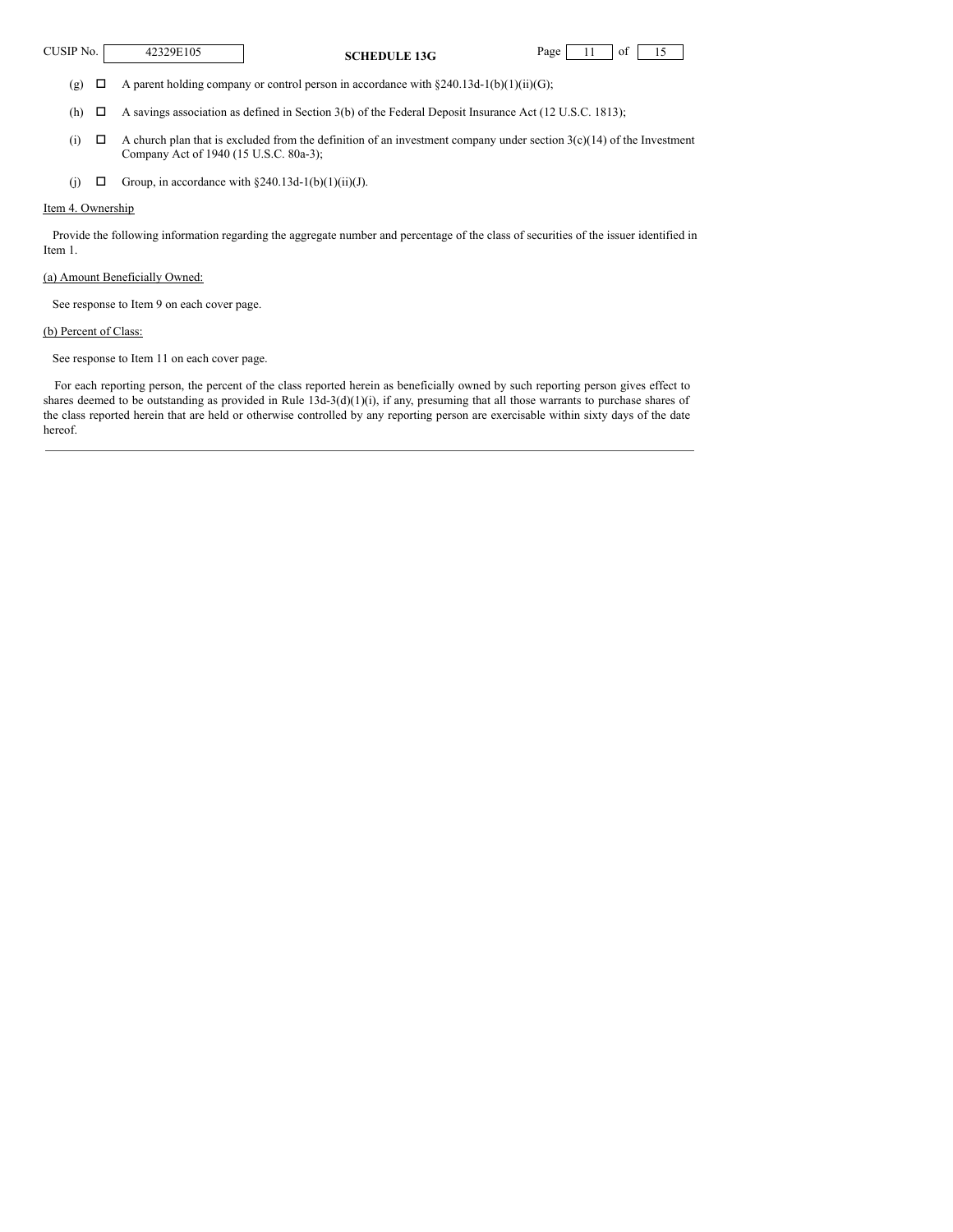**CUSIP No.** 42329E105 **SCHEDULE** 13G Page 11 of 15

(g)  $\Box$  A parent holding company or control person in accordance with §240.13d-1(b)(1)(ii)(G);

(h)  $\Box$  A savings association as defined in Section 3(b) of the Federal Deposit Insurance Act (12 U.S.C. 1813);

- (i)  $\Box$  A church plan that is excluded from the definition of an investment company under section 3(c)(14) of the Investment Company Act of 1940 (15 U.S.C. 80a-3);
- (j)  $\Box$  Group, in accordance with §240.13d-1(b)(1)(ii)(J).

### Item 4. Ownership

Provide the following information regarding the aggregate number and percentage of the class of securities of the issuer identified in Item 1.

### (a) Amount Beneficially Owned:

See response to Item 9 on each cover page.

### (b) Percent of Class:

See response to Item 11 on each cover page.

For each reporting person, the percent of the class reported herein as beneficially owned by such reporting person gives effect to shares deemed to be outstanding as provided in Rule 13d-3(d)(1)(i), if any, presuming that all those warrants to purchase shares of the class reported herein that are held or otherwise controlled by any reporting person are exercisable within sixty days of the date hereof.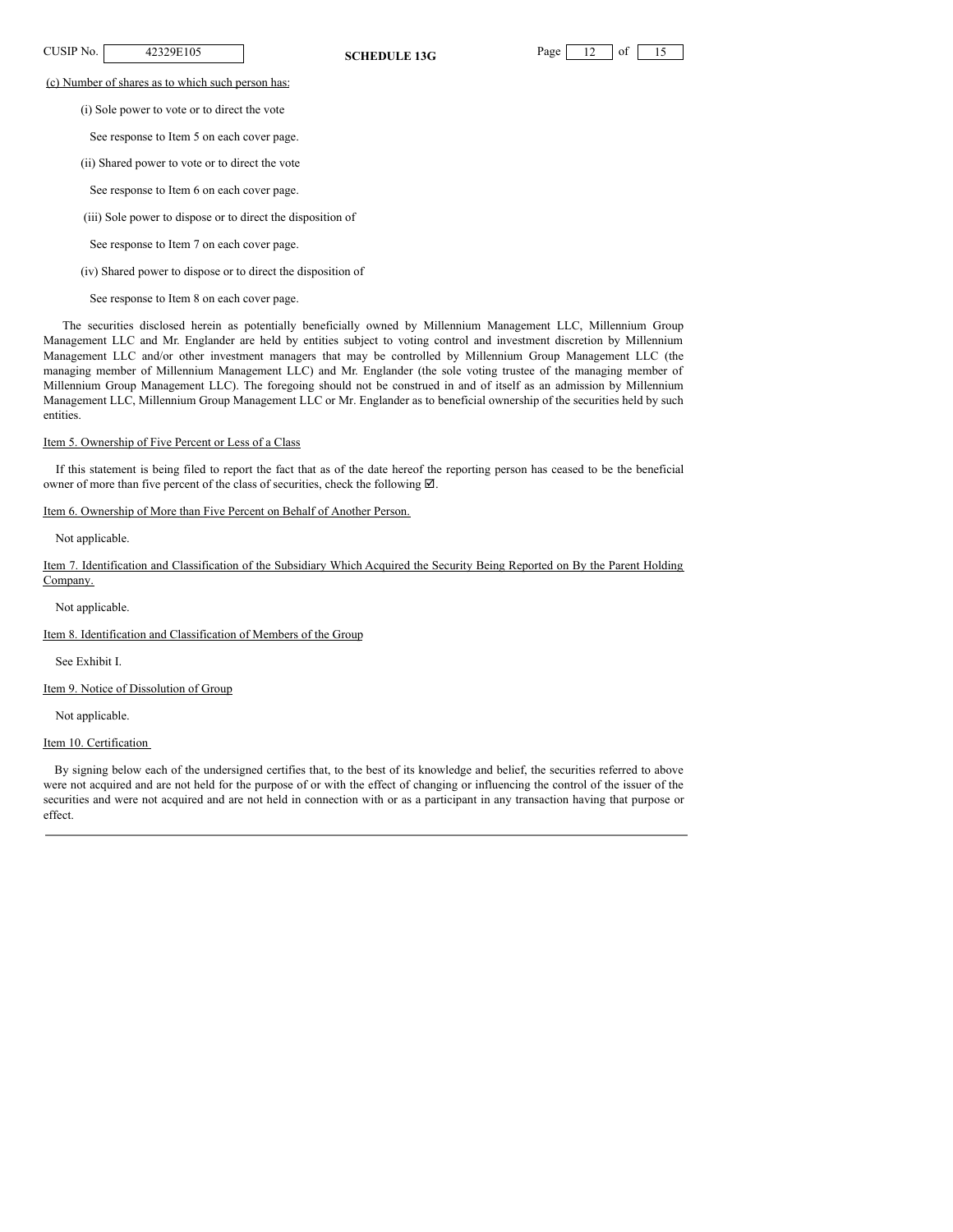

(c) Number of shares as to which such person has:

(i) Sole power to vote or to direct the vote

See response to Item 5 on each cover page.

- (ii) Shared power to vote or to direct the vote
- See response to Item 6 on each cover page.
- (iii) Sole power to dispose or to direct the disposition of
- See response to Item 7 on each cover page.
- (iv) Shared power to dispose or to direct the disposition of
- See response to Item 8 on each cover page.

The securities disclosed herein as potentially beneficially owned by Millennium Management LLC, Millennium Group Management LLC and Mr. Englander are held by entities subject to voting control and investment discretion by Millennium Management LLC and/or other investment managers that may be controlled by Millennium Group Management LLC (the managing member of Millennium Management LLC) and Mr. Englander (the sole voting trustee of the managing member of Millennium Group Management LLC). The foregoing should not be construed in and of itself as an admission by Millennium Management LLC, Millennium Group Management LLC or Mr. Englander as to beneficial ownership of the securities held by such entities.

### Item 5. Ownership of Five Percent or Less of a Class

If this statement is being filed to report the fact that as of the date hereof the reporting person has ceased to be the beneficial owner of more than five percent of the class of securities, check the following  $\boxtimes$ .

### Item 6. Ownership of More than Five Percent on Behalf of Another Person.

Not applicable.

Item 7. Identification and Classification of the Subsidiary Which Acquired the Security Being Reported on By the Parent Holding Company.

Not applicable.

Item 8. Identification and Classification of Members of the Group

See Exhibit I.

Item 9. Notice of Dissolution of Group

Not applicable.

Item 10. Certification

By signing below each of the undersigned certifies that, to the best of its knowledge and belief, the securities referred to above were not acquired and are not held for the purpose of or with the effect of changing or influencing the control of the issuer of the securities and were not acquired and are not held in connection with or as a participant in any transaction having that purpose or effect.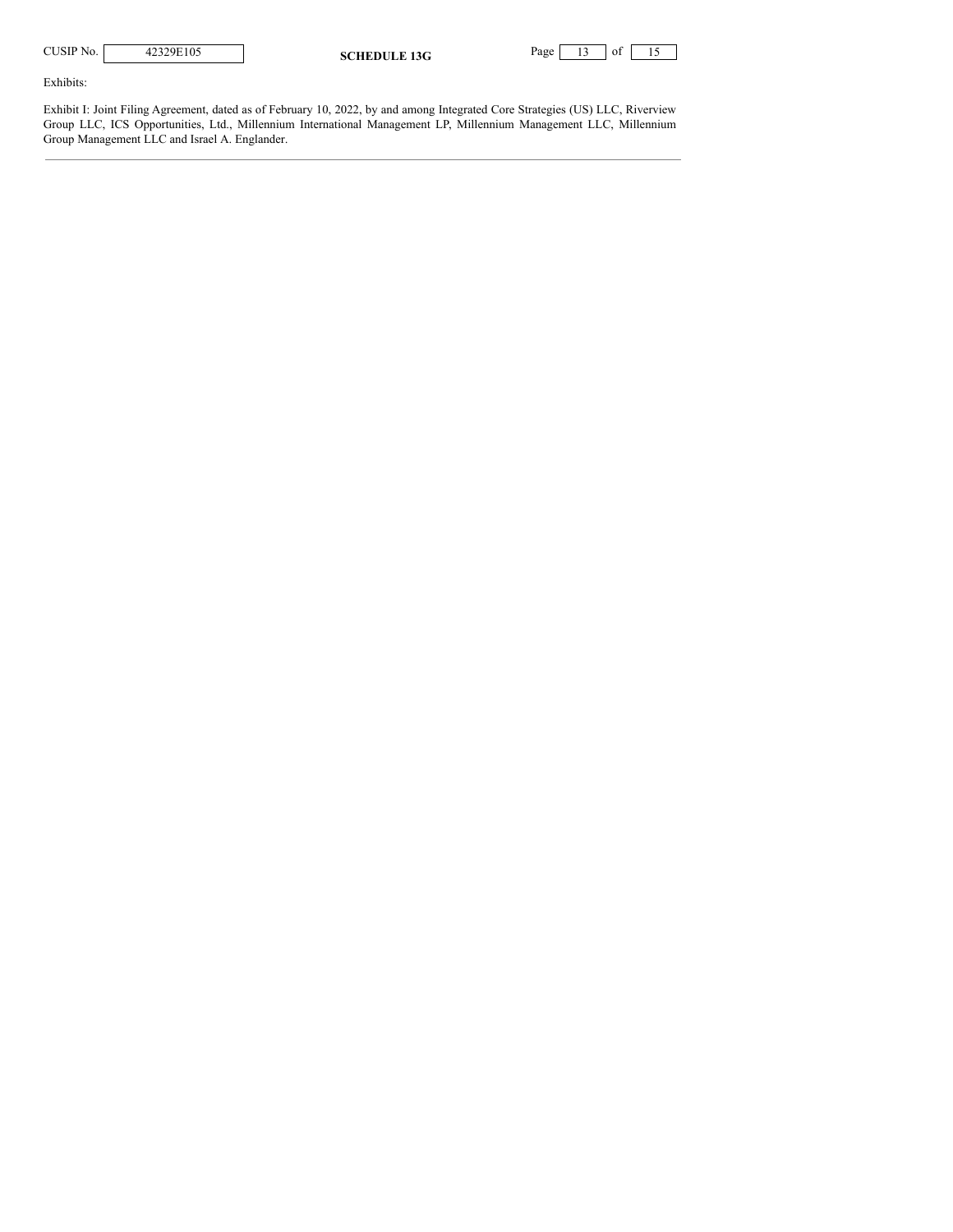| CUSIP No. |  |
|-----------|--|
|-----------|--|

| <b>SCHEDULE 13G</b> |  |
|---------------------|--|
|                     |  |



Exhibits:

Exhibit I: Joint Filing Agreement, dated as of February 10, 2022, by and among Integrated Core Strategies (US) LLC, Riverview Group LLC, ICS Opportunities, Ltd., Millennium International Management LP, Millennium Management LLC, Millennium Group Management LLC and Israel A. Englander.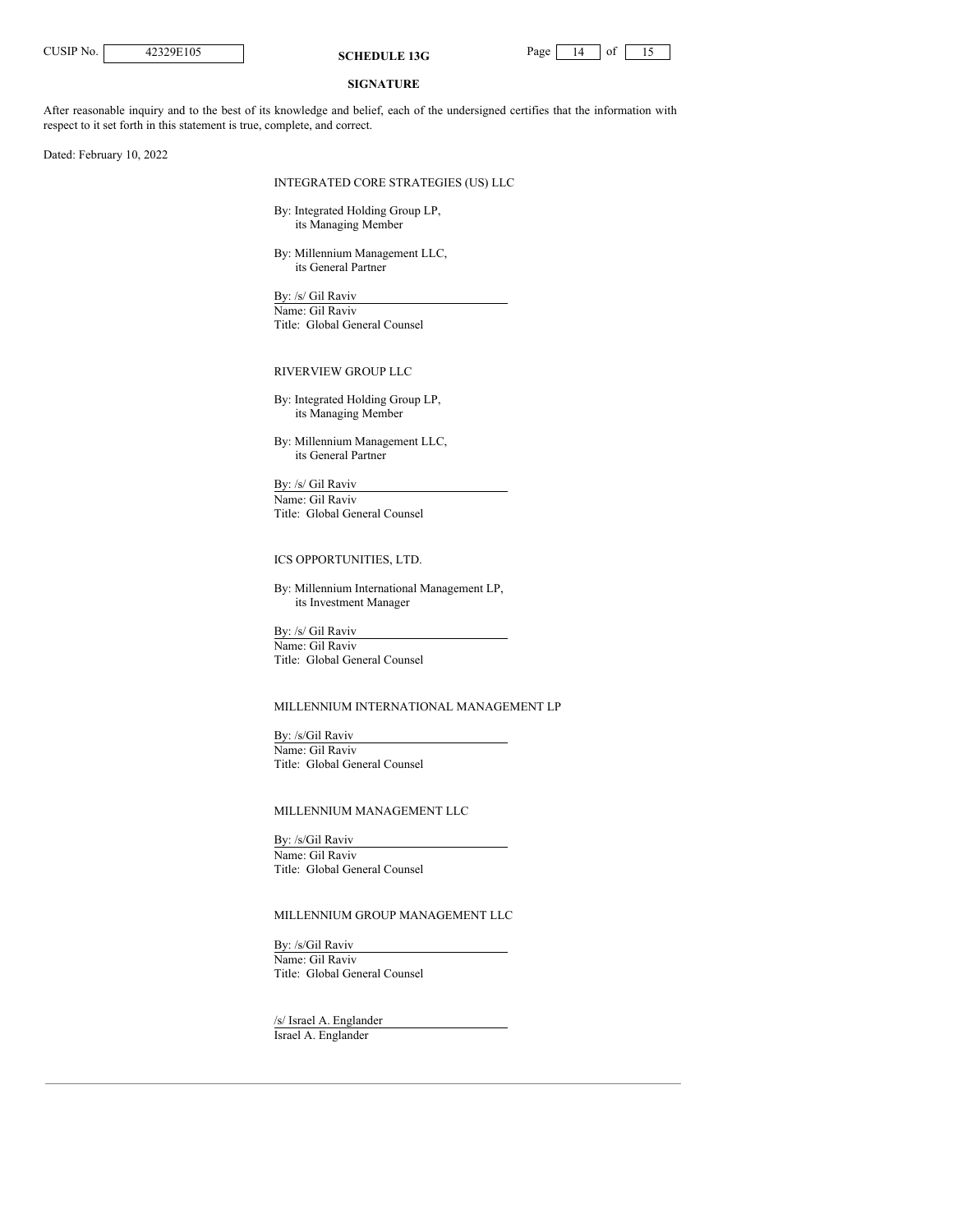**CUSIP No.** 42329E105 **SCHEDULE** 13G Page 14 of 15

### **SIGNATURE**

After reasonable inquiry and to the best of its knowledge and belief, each of the undersigned certifies that the information with respect to it set forth in this statement is true, complete, and correct.

Dated: February 10, 2022

# INTEGRATED CORE STRATEGIES (US) LLC

By: Integrated Holding Group LP, its Managing Member

By: Millennium Management LLC, its General Partner

By: /s/ Gil Raviv Name: Gil Raviv Title: Global General Counsel

### RIVERVIEW GROUP LLC

By: Integrated Holding Group LP, its Managing Member

By: Millennium Management LLC, its General Partner

By: /s/ Gil Raviv Name: Gil Raviv Title: Global General Counsel

### ICS OPPORTUNITIES, LTD.

By: Millennium International Management LP, its Investment Manager

By: /s/ Gil Raviv Name: Gil Raviv Title: Global General Counsel

### MILLENNIUM INTERNATIONAL MANAGEMENT LP

By: /s/Gil Raviv Name: Gil Raviv Title: Global General Counsel

# MILLENNIUM MANAGEMENT LLC

By: /s/Gil Raviv Name: Gil Raviv Title: Global General Counsel

### MILLENNIUM GROUP MANAGEMENT LLC

By: /s/Gil Raviv Name: Gil Raviv Title: Global General Counsel

/s/ Israel A. Englander Israel A. Englander